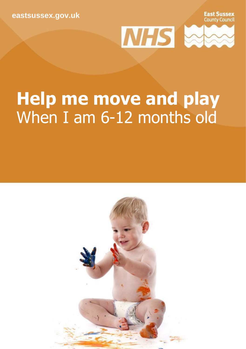**[eastsussex.gov.uk](http://eastsussex.gov.uk/)**

**East Sussex**<br>County Council



## **Help me move and play** When I am 6-12 months old

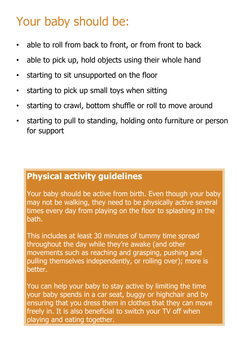### Your baby should be:

- able to roll from back to front, or from front to back
- able to pick up, hold objects using their whole hand
- starting to sit unsupported on the floor
- starting to pick up small toys when sitting
- starting to crawl, bottom shuffle or roll to move around
- starting to pull to standing, holding onto furniture or person for support

### **Physical activity guidelines**

Your baby should be active from birth. Even though your baby may not be walking, they need to be physically active several times every day from playing on the floor to splashing in the bath.

This includes at least 30 minutes of tummy time spread throughout the day while they're awake (and other movements such as reaching and grasping, pushing and pulling themselves independently, or rolling over); more is better.

You can help your baby to stay active by limiting the time your baby spends in a car seat, buggy or highchair and by ensuring that you dress them in clothes that they can move freely in. It is also beneficial to switch your TV off when playing and eating together.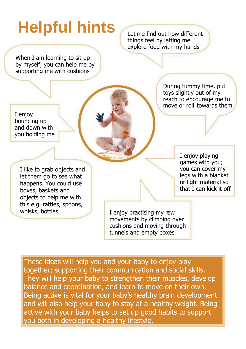# Helpful hints **Let me find out how different**

things feel by letting me explore food with my hands

When I am learning to sit up by myself, you can help me by supporting me with cushions

I enjoy bouncing up and down with you holding me During tummy time, put toys slightly out of my reach to encourage me to move or roll towards them

I like to grab objects and let them go to see what happens. You could use boxes, baskets and objects to help me with this e.g. rattles, spoons,

I enjoy playing games with you; you can cover my legs with a blanket or light material so that I can kick it off

whisks, bottles.  $\blacksquare$  I enjoy practising my rew movements by climbing over cushions and moving through tunnels and empty boxes

These ideas will help you and your baby to enjoy play together; supporting their communication and social skills. They will help your baby to strengthen their muscles, develop balance and coordination, and learn to move on their own. Being active is vital for your baby's healthy brain development and will also help your baby to stay at a healthy weight. Being active with your baby helps to set up good habits to support you both in developing a healthy lifestyle.